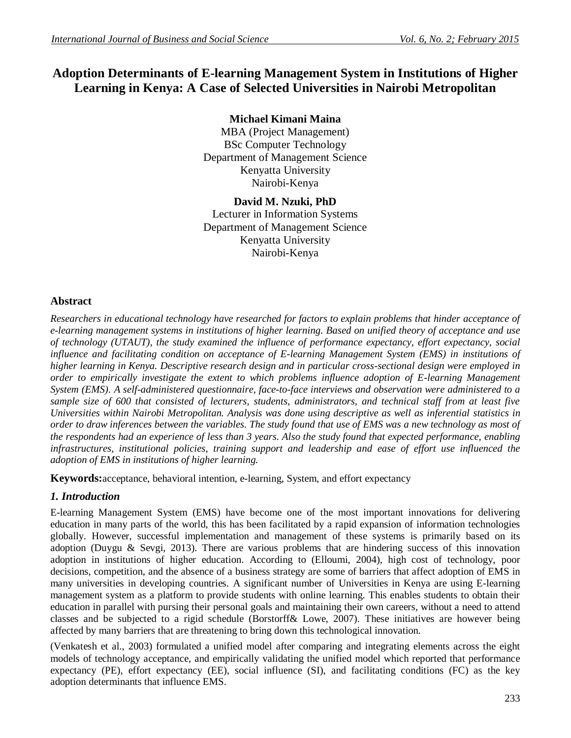# **Adoption Determinants of E-learning Management System in Institutions of Higher Learning in Kenya: A Case of Selected Universities in Nairobi Metropolitan**

## **Michael Kimani Maina**

MBA (Project Management) BSc Computer Technology Department of Management Science Kenyatta University Nairobi-Kenya

## **David M. Nzuki, PhD**

Lecturer in Information Systems Department of Management Science Kenyatta University Nairobi-Kenya

## **Abstract**

*Researchers in educational technology have researched for factors to explain problems that hinder acceptance of e-learning management systems in institutions of higher learning. Based on unified theory of acceptance and use of technology (UTAUT), the study examined the influence of performance expectancy, effort expectancy, social influence and facilitating condition on acceptance of E-learning Management System (EMS) in institutions of higher learning in Kenya. Descriptive research design and in particular cross-sectional design were employed in order to empirically investigate the extent to which problems influence adoption of E-learning Management System (EMS). A self-administered questionnaire, face-to-face interviews and observation were administered to a sample size of 600 that consisted of lecturers, students, administrators, and technical staff from at least five Universities within Nairobi Metropolitan. Analysis was done using descriptive as well as inferential statistics in order to draw inferences between the variables. The study found that use of EMS was a new technology as most of the respondents had an experience of less than 3 years. Also the study found that expected performance, enabling infrastructures, institutional policies, training support and leadership and ease of effort use influenced the adoption of EMS in institutions of higher learning.*

**Keywords:**acceptance, behavioral intention, e-learning, System, and effort expectancy

## *1. Introduction*

E-learning Management System (EMS) have become one of the most important innovations for delivering education in many parts of the world, this has been facilitated by a rapid expansion of information technologies globally. However, successful implementation and management of these systems is primarily based on its adoption (Duygu & Sevgi, 2013). There are various problems that are hindering success of this innovation adoption in institutions of higher education. According to (Elloumi, 2004), high cost of technology, poor decisions, competition, and the absence of a business strategy are some of barriers that affect adoption of EMS in many universities in developing countries. A significant number of Universities in Kenya are using E-learning management system as a platform to provide students with online learning. This enables students to obtain their education in parallel with pursing their personal goals and maintaining their own careers, without a need to attend classes and be subjected to a rigid schedule (Borstorff& Lowe, 2007). These initiatives are however being affected by many barriers that are threatening to bring down this technological innovation.

(Venkatesh et al., 2003) formulated a unified model after comparing and integrating elements across the eight models of technology acceptance, and empirically validating the unified model which reported that performance expectancy (PE), effort expectancy (EE), social influence (SI), and facilitating conditions (FC) as the key adoption determinants that influence EMS.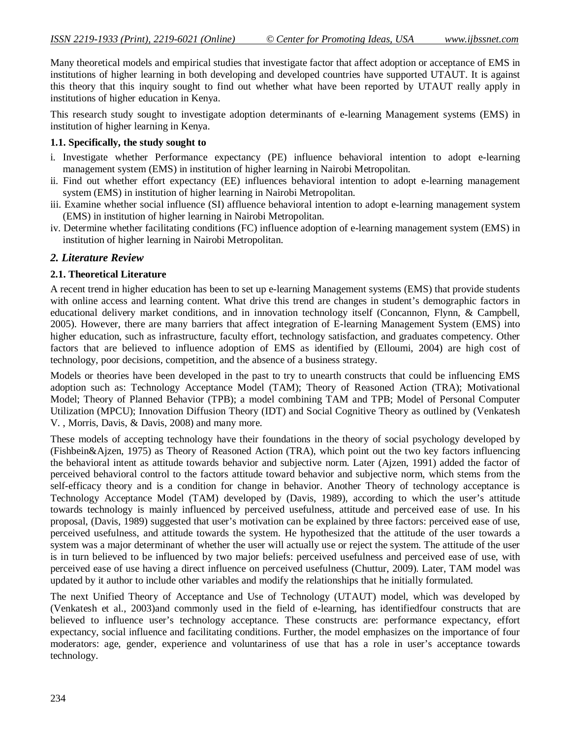Many theoretical models and empirical studies that investigate factor that affect adoption or acceptance of EMS in institutions of higher learning in both developing and developed countries have supported UTAUT. It is against this theory that this inquiry sought to find out whether what have been reported by UTAUT really apply in institutions of higher education in Kenya.

This research study sought to investigate adoption determinants of e-learning Management systems (EMS) in institution of higher learning in Kenya.

### **1.1. Specifically, the study sought to**

- i. Investigate whether Performance expectancy (PE) influence behavioral intention to adopt e-learning management system (EMS) in institution of higher learning in Nairobi Metropolitan.
- ii. Find out whether effort expectancy (EE) influences behavioral intention to adopt e-learning management system (EMS) in institution of higher learning in Nairobi Metropolitan.
- iii. Examine whether social influence (SI) affluence behavioral intention to adopt e-learning management system (EMS) in institution of higher learning in Nairobi Metropolitan.
- iv. Determine whether facilitating conditions (FC) influence adoption of e-learning management system (EMS) in institution of higher learning in Nairobi Metropolitan.

## *2. Literature Review*

### **2.1. Theoretical Literature**

A recent trend in higher education has been to set up e-learning Management systems (EMS) that provide students with online access and learning content. What drive this trend are changes in student's demographic factors in educational delivery market conditions, and in innovation technology itself (Concannon, Flynn, & Campbell, 2005). However, there are many barriers that affect integration of E-learning Management System (EMS) into higher education, such as infrastructure, faculty effort, technology satisfaction, and graduates competency. Other factors that are believed to influence adoption of EMS as identified by (Elloumi, 2004) are high cost of technology, poor decisions, competition, and the absence of a business strategy.

Models or theories have been developed in the past to try to unearth constructs that could be influencing EMS adoption such as: Technology Acceptance Model (TAM); Theory of Reasoned Action (TRA); Motivational Model; Theory of Planned Behavior (TPB); a model combining TAM and TPB; Model of Personal Computer Utilization (MPCU); Innovation Diffusion Theory (IDT) and Social Cognitive Theory as outlined by (Venkatesh V. , Morris, Davis, & Davis, 2008) and many more.

These models of accepting technology have their foundations in the theory of social psychology developed by (Fishbein&Ajzen, 1975) as Theory of Reasoned Action (TRA), which point out the two key factors influencing the behavioral intent as attitude towards behavior and subjective norm. Later (Ajzen, 1991) added the factor of perceived behavioral control to the factors attitude toward behavior and subjective norm, which stems from the self-efficacy theory and is a condition for change in behavior. Another Theory of technology acceptance is Technology Acceptance Model (TAM) developed by (Davis, 1989), according to which the user's attitude towards technology is mainly influenced by perceived usefulness, attitude and perceived ease of use. In his proposal, (Davis, 1989) suggested that user's motivation can be explained by three factors: perceived ease of use, perceived usefulness, and attitude towards the system. He hypothesized that the attitude of the user towards a system was a major determinant of whether the user will actually use or reject the system. The attitude of the user is in turn believed to be influenced by two major beliefs: perceived usefulness and perceived ease of use, with perceived ease of use having a direct influence on perceived usefulness (Chuttur, 2009). Later, TAM model was updated by it author to include other variables and modify the relationships that he initially formulated.

The next Unified Theory of Acceptance and Use of Technology (UTAUT) model, which was developed by (Venkatesh et al., 2003)and commonly used in the field of e-learning, has identifiedfour constructs that are believed to influence user's technology acceptance. These constructs are: performance expectancy, effort expectancy, social influence and facilitating conditions. Further, the model emphasizes on the importance of four moderators: age, gender, experience and voluntariness of use that has a role in user's acceptance towards technology.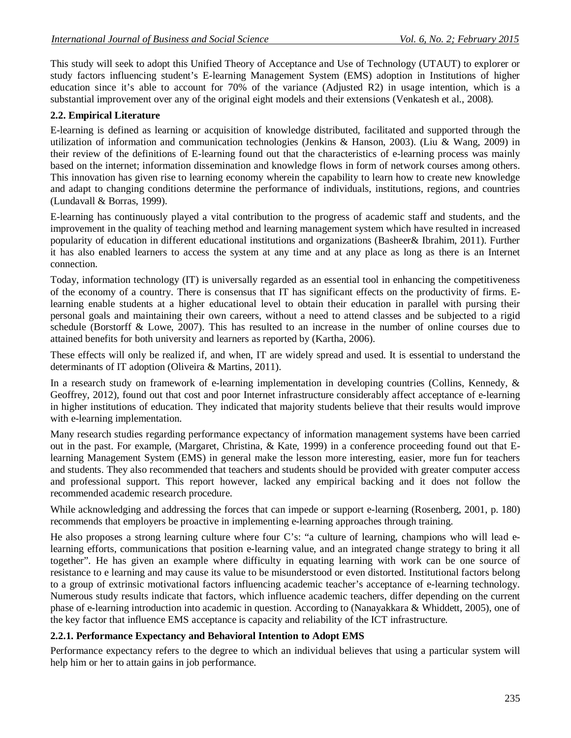This study will seek to adopt this Unified Theory of Acceptance and Use of Technology (UTAUT) to explorer or study factors influencing student's E-learning Management System (EMS) adoption in Institutions of higher education since it's able to account for 70% of the variance (Adjusted R2) in usage intention, which is a substantial improvement over any of the original eight models and their extensions (Venkatesh et al., 2008).

## **2.2. Empirical Literature**

E-learning is defined as learning or acquisition of knowledge distributed, facilitated and supported through the utilization of information and communication technologies (Jenkins & Hanson, 2003). (Liu & Wang, 2009) in their review of the definitions of E-learning found out that the characteristics of e-learning process was mainly based on the internet; information dissemination and knowledge flows in form of network courses among others. This innovation has given rise to learning economy wherein the capability to learn how to create new knowledge and adapt to changing conditions determine the performance of individuals, institutions, regions, and countries (Lundavall & Borras, 1999).

E-learning has continuously played a vital contribution to the progress of academic staff and students, and the improvement in the quality of teaching method and learning management system which have resulted in increased popularity of education in different educational institutions and organizations (Basheer& Ibrahim, 2011). Further it has also enabled learners to access the system at any time and at any place as long as there is an Internet connection.

Today, information technology (IT) is universally regarded as an essential tool in enhancing the competitiveness of the economy of a country. There is consensus that IT has significant effects on the productivity of firms. Elearning enable students at a higher educational level to obtain their education in parallel with pursing their personal goals and maintaining their own careers, without a need to attend classes and be subjected to a rigid schedule (Borstorff & Lowe, 2007). This has resulted to an increase in the number of online courses due to attained benefits for both university and learners as reported by (Kartha, 2006).

These effects will only be realized if, and when, IT are widely spread and used. It is essential to understand the determinants of IT adoption (Oliveira & Martins, 2011).

In a research study on framework of e-learning implementation in developing countries (Collins, Kennedy, & Geoffrey, 2012), found out that cost and poor Internet infrastructure considerably affect acceptance of e-learning in higher institutions of education. They indicated that majority students believe that their results would improve with e-learning implementation.

Many research studies regarding performance expectancy of information management systems have been carried out in the past. For example, (Margaret, Christina, & Kate, 1999) in a conference proceeding found out that Elearning Management System (EMS) in general make the lesson more interesting, easier, more fun for teachers and students. They also recommended that teachers and students should be provided with greater computer access and professional support. This report however, lacked any empirical backing and it does not follow the recommended academic research procedure.

While acknowledging and addressing the forces that can impede or support e-learning (Rosenberg, 2001, p. 180) recommends that employers be proactive in implementing e-learning approaches through training.

He also proposes a strong learning culture where four C's: "a culture of learning, champions who will lead elearning efforts, communications that position e-learning value, and an integrated change strategy to bring it all together". He has given an example where difficulty in equating learning with work can be one source of resistance to e learning and may cause its value to be misunderstood or even distorted. Institutional factors belong to a group of extrinsic motivational factors influencing academic teacher's acceptance of e-learning technology. Numerous study results indicate that factors, which influence academic teachers, differ depending on the current phase of e-learning introduction into academic in question. According to (Nanayakkara & Whiddett, 2005), one of the key factor that influence EMS acceptance is capacity and reliability of the ICT infrastructure.

## **2.2.1. Performance Expectancy and Behavioral Intention to Adopt EMS**

Performance expectancy refers to the degree to which an individual believes that using a particular system will help him or her to attain gains in job performance.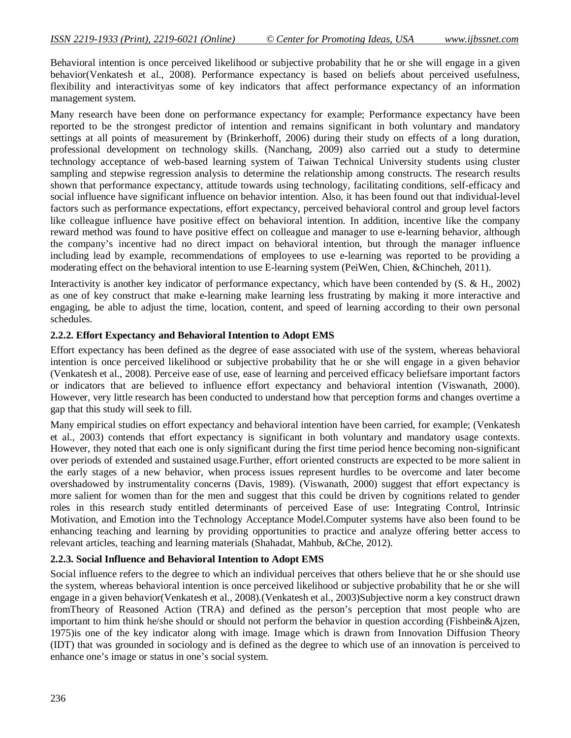Behavioral intention is once perceived likelihood or subjective probability that he or she will engage in a given behavior(Venkatesh et al., 2008). Performance expectancy is based on beliefs about perceived usefulness, flexibility and interactivityas some of key indicators that affect performance expectancy of an information management system.

Many research have been done on performance expectancy for example; Performance expectancy have been reported to be the strongest predictor of intention and remains significant in both voluntary and mandatory settings at all points of measurement by (Brinkerhoff, 2006) during their study on effects of a long duration, professional development on technology skills. (Nanchang, 2009) also carried out a study to determine technology acceptance of web-based learning system of Taiwan Technical University students using cluster sampling and stepwise regression analysis to determine the relationship among constructs. The research results shown that performance expectancy, attitude towards using technology, facilitating conditions, self-efficacy and social influence have significant influence on behavior intention. Also, it has been found out that individual-level factors such as performance expectations, effort expectancy, perceived behavioral control and group level factors like colleague influence have positive effect on behavioral intention. In addition, incentive like the company reward method was found to have positive effect on colleague and manager to use e-learning behavior, although the company's incentive had no direct impact on behavioral intention, but through the manager influence including lead by example, recommendations of employees to use e-learning was reported to be providing a moderating effect on the behavioral intention to use E-learning system (PeiWen, Chien, &Chincheh, 2011).

Interactivity is another key indicator of performance expectancy, which have been contended by (S. & H., 2002) as one of key construct that make e-learning make learning less frustrating by making it more interactive and engaging, be able to adjust the time, location, content, and speed of learning according to their own personal schedules.

#### **2.2.2. Effort Expectancy and Behavioral Intention to Adopt EMS**

Effort expectancy has been defined as the degree of ease associated with use of the system, whereas behavioral intention is once perceived likelihood or subjective probability that he or she will engage in a given behavior (Venkatesh et al., 2008). Perceive ease of use, ease of learning and perceived efficacy beliefsare important factors or indicators that are believed to influence effort expectancy and behavioral intention (Viswanath, 2000). However, very little research has been conducted to understand how that perception forms and changes overtime a gap that this study will seek to fill.

Many empirical studies on effort expectancy and behavioral intention have been carried, for example; (Venkatesh et al., 2003) contends that effort expectancy is significant in both voluntary and mandatory usage contexts. However, they noted that each one is only significant during the first time period hence becoming non-significant over periods of extended and sustained usage.Further, effort oriented constructs are expected to be more salient in the early stages of a new behavior, when process issues represent hurdles to be overcome and later become overshadowed by instrumentality concerns (Davis, 1989). (Viswanath, 2000) suggest that effort expectancy is more salient for women than for the men and suggest that this could be driven by cognitions related to gender roles in this research study entitled determinants of perceived Ease of use: Integrating Control, Intrinsic Motivation, and Emotion into the Technology Acceptance Model.Computer systems have also been found to be enhancing teaching and learning by providing opportunities to practice and analyze offering better access to relevant articles, teaching and learning materials (Shahadat, Mahbub, &Che, 2012).

#### **2.2.3. Social Influence and Behavioral Intention to Adopt EMS**

Social influence refers to the degree to which an individual perceives that others believe that he or she should use the system, whereas behavioral intention is once perceived likelihood or subjective probability that he or she will engage in a given behavior(Venkatesh et al., 2008).(Venkatesh et al., 2003)Subjective norm a key construct drawn fromTheory of Reasoned Action (TRA) and defined as the person's perception that most people who are important to him think he/she should or should not perform the behavior in question according (Fishbein&Ajzen, 1975)is one of the key indicator along with image. Image which is drawn from Innovation Diffusion Theory (IDT) that was grounded in sociology and is defined as the degree to which use of an innovation is perceived to enhance one's image or status in one's social system.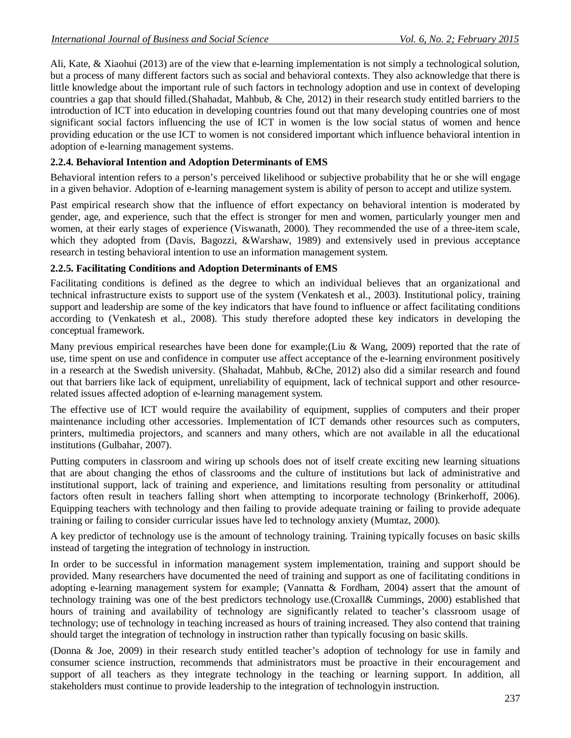Ali, Kate, & Xiaohui (2013) are of the view that e-learning implementation is not simply a technological solution, but a process of many different factors such as social and behavioral contexts. They also acknowledge that there is little knowledge about the important rule of such factors in technology adoption and use in context of developing countries a gap that should filled.(Shahadat, Mahbub, & Che, 2012) in their research study entitled barriers to the introduction of ICT into education in developing countries found out that many developing countries one of most significant social factors influencing the use of ICT in women is the low social status of women and hence providing education or the use ICT to women is not considered important which influence behavioral intention in adoption of e-learning management systems.

## **2.2.4. Behavioral Intention and Adoption Determinants of EMS**

Behavioral intention refers to a person's perceived likelihood or subjective probability that he or she will engage in a given behavior. Adoption of e-learning management system is ability of person to accept and utilize system.

Past empirical research show that the influence of effort expectancy on behavioral intention is moderated by gender, age, and experience, such that the effect is stronger for men and women, particularly younger men and women, at their early stages of experience (Viswanath, 2000). They recommended the use of a three-item scale, which they adopted from (Davis, Bagozzi, &Warshaw, 1989) and extensively used in previous acceptance research in testing behavioral intention to use an information management system.

## **2.2.5. Facilitating Conditions and Adoption Determinants of EMS**

Facilitating conditions is defined as the degree to which an individual believes that an organizational and technical infrastructure exists to support use of the system (Venkatesh et al., 2003). Institutional policy, training support and leadership are some of the key indicators that have found to influence or affect facilitating conditions according to (Venkatesh et al., 2008). This study therefore adopted these key indicators in developing the conceptual framework.

Many previous empirical researches have been done for example;(Liu & Wang, 2009) reported that the rate of use, time spent on use and confidence in computer use affect acceptance of the e-learning environment positively in a research at the Swedish university. (Shahadat, Mahbub, &Che, 2012) also did a similar research and found out that barriers like lack of equipment, unreliability of equipment, lack of technical support and other resourcerelated issues affected adoption of e-learning management system.

The effective use of ICT would require the availability of equipment, supplies of computers and their proper maintenance including other accessories. Implementation of ICT demands other resources such as computers, printers, multimedia projectors, and scanners and many others, which are not available in all the educational institutions (Gulbahar, 2007).

Putting computers in classroom and wiring up schools does not of itself create exciting new learning situations that are about changing the ethos of classrooms and the culture of institutions but lack of administrative and institutional support, lack of training and experience, and limitations resulting from personality or attitudinal factors often result in teachers falling short when attempting to incorporate technology (Brinkerhoff, 2006). Equipping teachers with technology and then failing to provide adequate training or failing to provide adequate training or failing to consider curricular issues have led to technology anxiety (Mumtaz, 2000).

A key predictor of technology use is the amount of technology training. Training typically focuses on basic skills instead of targeting the integration of technology in instruction.

In order to be successful in information management system implementation, training and support should be provided. Many researchers have documented the need of training and support as one of facilitating conditions in adopting e-learning management system for example; (Vannatta & Fordham, 2004) assert that the amount of technology training was one of the best predictors technology use.(Croxall& Cummings, 2000) established that hours of training and availability of technology are significantly related to teacher's classroom usage of technology; use of technology in teaching increased as hours of training increased. They also contend that training should target the integration of technology in instruction rather than typically focusing on basic skills.

(Donna & Joe, 2009) in their research study entitled teacher's adoption of technology for use in family and consumer science instruction, recommends that administrators must be proactive in their encouragement and support of all teachers as they integrate technology in the teaching or learning support. In addition, all stakeholders must continue to provide leadership to the integration of technologyin instruction.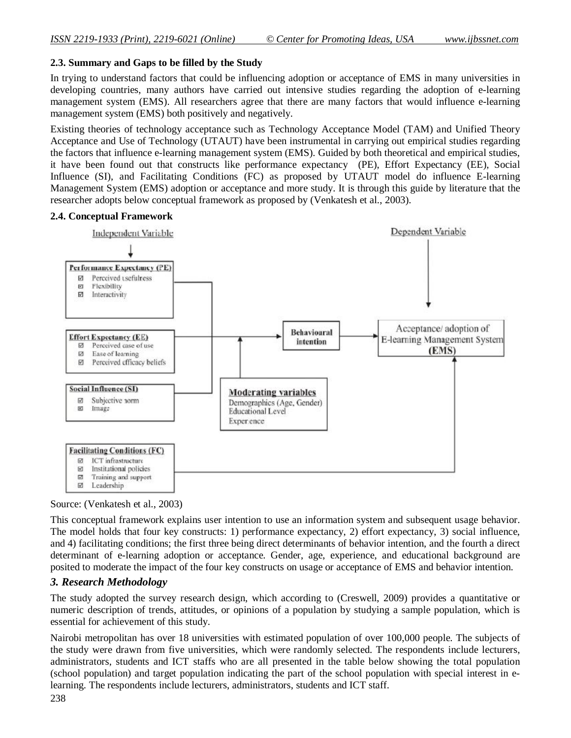### **2.3. Summary and Gaps to be filled by the Study**

In trying to understand factors that could be influencing adoption or acceptance of EMS in many universities in developing countries, many authors have carried out intensive studies regarding the adoption of e-learning management system (EMS). All researchers agree that there are many factors that would influence e-learning management system (EMS) both positively and negatively.

Existing theories of technology acceptance such as Technology Acceptance Model (TAM) and Unified Theory Acceptance and Use of Technology (UTAUT) have been instrumental in carrying out empirical studies regarding the factors that influence e-learning management system (EMS). Guided by both theoretical and empirical studies, it have been found out that constructs like performance expectancy (PE), Effort Expectancy (EE), Social Influence (SI), and Facilitating Conditions (FC) as proposed by UTAUT model do influence E-learning Management System (EMS) adoption or acceptance and more study. It is through this guide by literature that the researcher adopts below conceptual framework as proposed by (Venkatesh et al., 2003).

#### **2.4. Conceptual Framework**



Source: (Venkatesh et al., 2003)

This conceptual framework explains user intention to use an information system and subsequent usage behavior. The model holds that four key constructs: 1) performance expectancy, 2) effort expectancy, 3) social influence, and 4) facilitating conditions; the first three being direct determinants of behavior intention, and the fourth a direct determinant of e-learning adoption or acceptance. Gender, age, experience, and educational background are posited to moderate the impact of the four key constructs on usage or acceptance of EMS and behavior intention.

## *3. Research Methodology*

The study adopted the survey research design, which according to (Creswell, 2009) provides a quantitative or numeric description of trends, attitudes, or opinions of a population by studying a sample population, which is essential for achievement of this study.

Nairobi metropolitan has over 18 universities with estimated population of over 100,000 people. The subjects of the study were drawn from five universities, which were randomly selected. The respondents include lecturers, administrators, students and ICT staffs who are all presented in the table below showing the total population (school population) and target population indicating the part of the school population with special interest in elearning. The respondents include lecturers, administrators, students and ICT staff.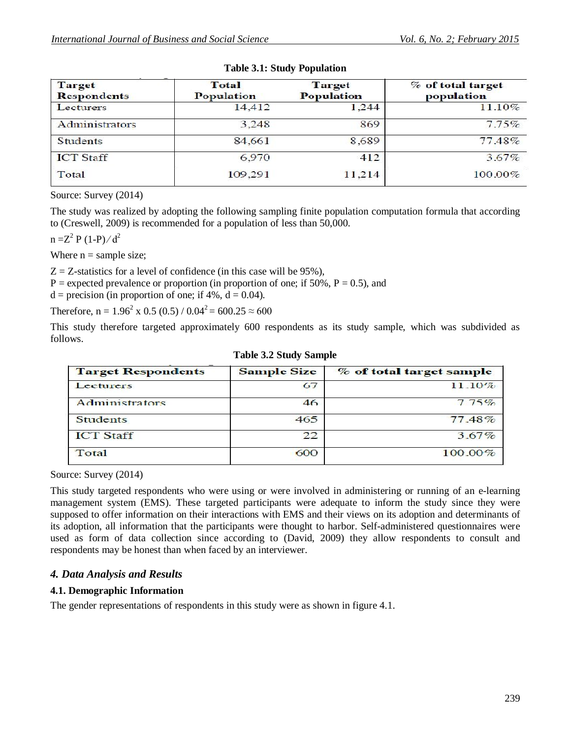| <b>Target</b><br><b>Respondents</b> | <b>Total</b><br>Population | Target<br><b>Population</b> | % of total target<br>population |
|-------------------------------------|----------------------------|-----------------------------|---------------------------------|
| Lecturers                           | 14,412                     | 1,244                       | 11.10%                          |
| Administrators                      | 3,248                      | 869                         | 7.75%                           |
| <b>Students</b>                     | 84,661                     | 8,689                       | 77.48%                          |
| <b>ICT</b> Staff                    | 6,970                      | 412                         | $3.67\%$                        |
| Total                               | 109,291                    | 11,214                      | $100.00\%$                      |

### **Table 3.1: Study Population**

Source: Survey (2014)

The study was realized by adopting the following sampling finite population computation formula that according to (Creswell, 2009) is recommended for a population of less than 50,000.

 $n = Z^2 P (1-P)/d^2$ 

Where  $n =$  sample size;

 $Z = Z$ -statistics for a level of confidence (in this case will be 95%),

 $P =$  expected prevalence or proportion (in proportion of one; if 50%,  $P = 0.5$ ), and

 $d = \text{precision}$  (in proportion of one; if 4%,  $d = 0.04$ ).

Therefore,  $n = 1.96^2 \times 0.5 (0.5) / 0.04^2 = 600.25 \approx 600$ 

This study therefore targeted approximately 600 respondents as its study sample, which was subdivided as follows.

| <b>Target Respondents</b> | <b>Sample Size</b> | % of total target sample |
|---------------------------|--------------------|--------------------------|
| Lecturers                 | 67                 | 11.10%                   |
| Administrators            | 46                 | 775%                     |
| <b>Students</b>           | 465                | 77.48%                   |
| <b>ICT Staff</b>          | 22                 | $3.67\%$                 |
| Total                     | 600                | $100.00\%$               |

|  |  |  | <b>Table 3.2 Study Sample</b> |  |
|--|--|--|-------------------------------|--|
|--|--|--|-------------------------------|--|

Source: Survey (2014)

This study targeted respondents who were using or were involved in administering or running of an e-learning management system (EMS). These targeted participants were adequate to inform the study since they were supposed to offer information on their interactions with EMS and their views on its adoption and determinants of its adoption, all information that the participants were thought to harbor. Self-administered questionnaires were used as form of data collection since according to (David, 2009) they allow respondents to consult and respondents may be honest than when faced by an interviewer.

## *4. Data Analysis and Results*

#### **4.1. Demographic Information**

The gender representations of respondents in this study were as shown in figure 4.1.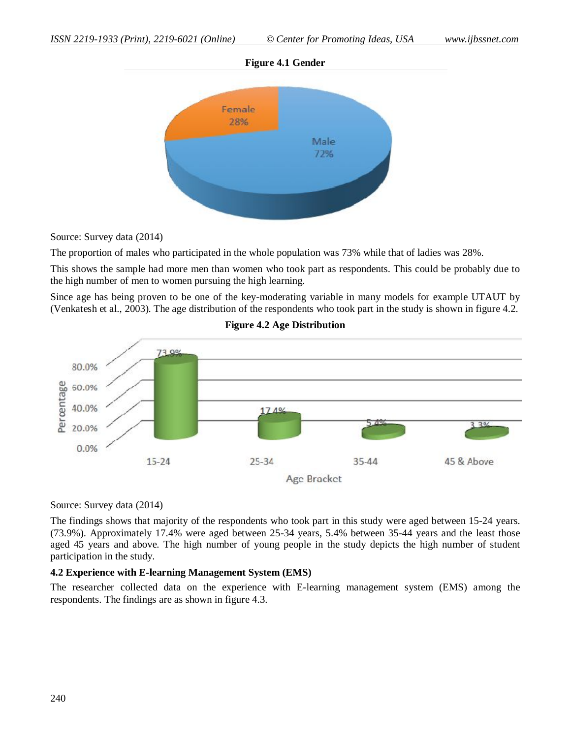



**Figure 4.1 Gender**

Source: Survey data (2014)

The proportion of males who participated in the whole population was 73% while that of ladies was 28%.

This shows the sample had more men than women who took part as respondents. This could be probably due to the high number of men to women pursuing the high learning.

Since age has being proven to be one of the key-moderating variable in many models for example UTAUT by (Venkatesh et al., 2003). The age distribution of the respondents who took part in the study is shown in figure 4.2.



**Figure 4.2 Age Distribution**

Source: Survey data (2014)

The findings shows that majority of the respondents who took part in this study were aged between 15-24 years. (73.9%). Approximately 17.4% were aged between 25-34 years, 5.4% between 35-44 years and the least those aged 45 years and above. The high number of young people in the study depicts the high number of student participation in the study.

#### **4.2 Experience with E-learning Management System (EMS)**

The researcher collected data on the experience with E-learning management system (EMS) among the respondents. The findings are as shown in figure 4.3.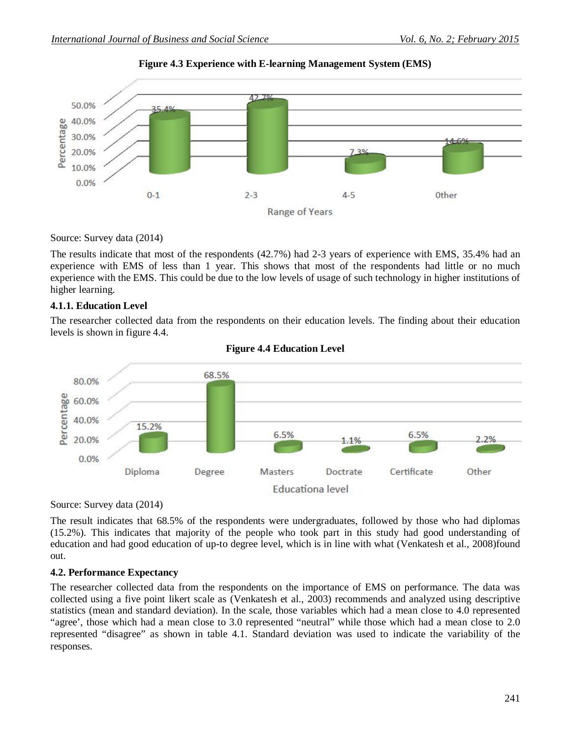

**Figure 4.3 Experience with E-learning Management System (EMS)**

Source: Survey data (2014)

The results indicate that most of the respondents (42.7%) had 2-3 years of experience with EMS, 35.4% had an experience with EMS of less than 1 year. This shows that most of the respondents had little or no much experience with the EMS. This could be due to the low levels of usage of such technology in higher institutions of higher learning.

#### **4.1.1. Education Level**

The researcher collected data from the respondents on their education levels. The finding about their education levels is shown in figure 4.4.



### **Figure 4.4 Education Level**

Source: Survey data (2014)

The result indicates that 68.5% of the respondents were undergraduates, followed by those who had diplomas (15.2%). This indicates that majority of the people who took part in this study had good understanding of education and had good education of up-to degree level, which is in line with what (Venkatesh et al., 2008)found out.

#### **4.2. Performance Expectancy**

The researcher collected data from the respondents on the importance of EMS on performance. The data was collected using a five point likert scale as (Venkatesh et al., 2003) recommends and analyzed using descriptive statistics (mean and standard deviation). In the scale, those variables which had a mean close to 4.0 represented "agree', those which had a mean close to 3.0 represented "neutral" while those which had a mean close to 2.0 represented "disagree" as shown in table 4.1. Standard deviation was used to indicate the variability of the responses.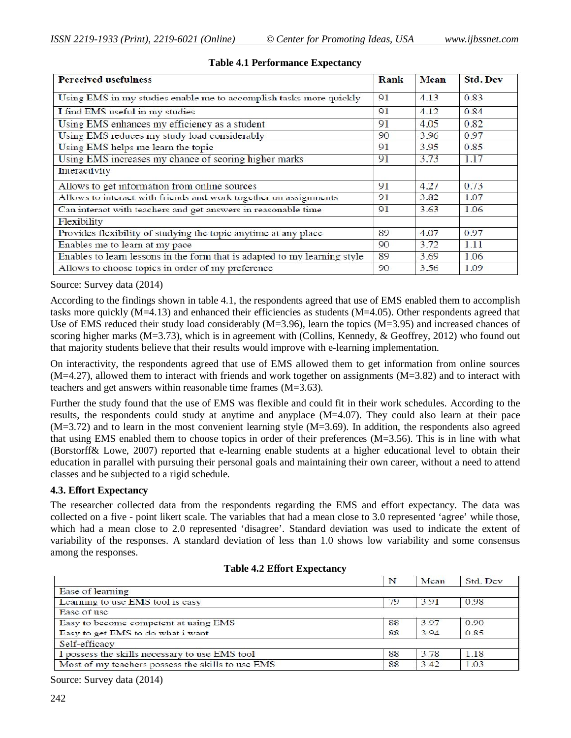| <b>Perceived usefulness</b>                                               | Rank | <b>Mean</b> | <b>Std. Dev</b> |
|---------------------------------------------------------------------------|------|-------------|-----------------|
| Using EMS in my studies enable me to accomplish tasks more quickly        | 91   | 4.13        | 0.83            |
| I find EMS useful in my studies                                           | 91   | 4.12        | 0.84            |
| Using EMS enhances my efficiency as a student                             | 91   | 4.05        | 0.82            |
| Using EMS reduces my study load considerably                              | 90   | 3.96        | 0.97            |
| Using EMS helps me learn the topic                                        | 91   | 3.95        | 0.85            |
| Using EMS increases my chance of scoring higher marks                     | 91   | 3.73        | 1.17            |
| Interactivity                                                             |      |             |                 |
| Allows to get information from online sources                             | 91   | 4.27        | 0.73            |
| Allows to interact with friends and work together on assignments          |      | 3.82        | 1.07            |
| Can interact with teachers and get answers in reasonable time             | 91   | 3.63        | 1.06            |
| Flexibility                                                               |      |             |                 |
| Provides flexibility of studying the topic anytime at any place           | 89   | 4.07        | 0.97            |
| Enables me to learn at my pace                                            | 90   | 3.72        | 1,11            |
| Enables to learn lessons in the form that is adapted to my learning style |      | 3.69        | 1.06            |
| Allows to choose topics in order of my preference                         | 90   | 3.56        | 1.09            |

#### **Table 4.1 Performance Expectancy**

Source: Survey data (2014)

According to the findings shown in table 4.1, the respondents agreed that use of EMS enabled them to accomplish tasks more quickly (M=4.13) and enhanced their efficiencies as students (M=4.05). Other respondents agreed that Use of EMS reduced their study load considerably (M=3.96), learn the topics (M=3.95) and increased chances of scoring higher marks (M=3.73), which is in agreement with (Collins, Kennedy, & Geoffrey, 2012) who found out that majority students believe that their results would improve with e-learning implementation.

On interactivity, the respondents agreed that use of EMS allowed them to get information from online sources  $(M=4.27)$ , allowed them to interact with friends and work together on assignments  $(M=3.82)$  and to interact with teachers and get answers within reasonable time frames (M=3.63).

Further the study found that the use of EMS was flexible and could fit in their work schedules. According to the results, the respondents could study at anytime and anyplace (M=4.07). They could also learn at their pace  $(M=3.72)$  and to learn in the most convenient learning style  $(M=3.69)$ . In addition, the respondents also agreed that using EMS enabled them to choose topics in order of their preferences (M=3.56). This is in line with what (Borstorff& Lowe, 2007) reported that e-learning enable students at a higher educational level to obtain their education in parallel with pursuing their personal goals and maintaining their own career, without a need to attend classes and be subjected to a rigid schedule.

#### **4.3. Effort Expectancy**

The researcher collected data from the respondents regarding the EMS and effort expectancy. The data was collected on a five - point likert scale. The variables that had a mean close to 3.0 represented 'agree' while those, which had a mean close to 2.0 represented 'disagree'. Standard deviation was used to indicate the extent of variability of the responses. A standard deviation of less than 1.0 shows low variability and some consensus among the responses.

|                                                   | N  | Mcan | Std. Dev. |
|---------------------------------------------------|----|------|-----------|
| Ease of learning                                  |    |      |           |
| Learning to use EMS tool is easy                  | 79 | 3.91 | 0.98      |
| Ease of use                                       |    |      |           |
| Easy to become competent at using EMS             | 88 | 3.97 | 0.90      |
| Easy to get EMS to do what i want                 | 88 | 3.94 | 0.85      |
| Self-efficacy                                     |    |      |           |
| I possess the skills necessary to use EMS tool    | 88 | 3.78 | 1.18      |
| Most of my teachers possess the skills to use EMS | 88 | 3.42 | 1.03      |

#### **Table 4.2 Effort Expectancy**

Source: Survey data (2014)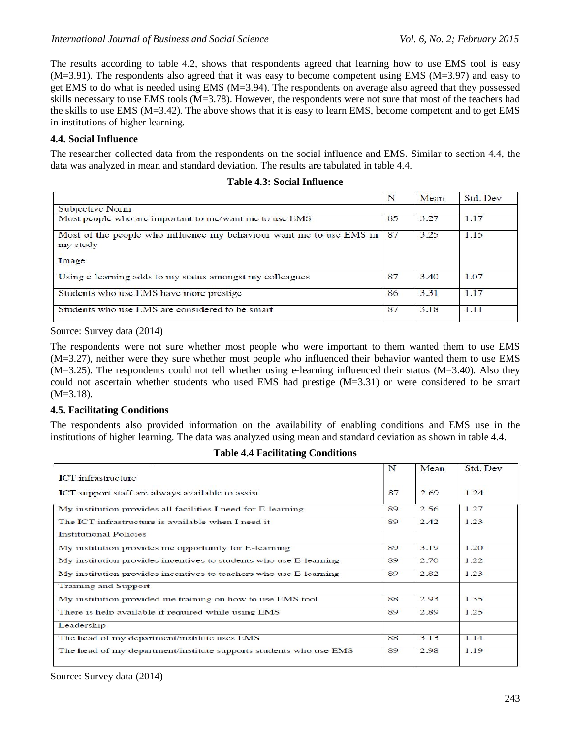The results according to table 4.2, shows that respondents agreed that learning how to use EMS tool is easy  $(M=3.91)$ . The respondents also agreed that it was easy to become competent using EMS  $(M=3.97)$  and easy to get EMS to do what is needed using EMS (M=3.94). The respondents on average also agreed that they possessed skills necessary to use EMS tools (M=3.78). However, the respondents were not sure that most of the teachers had the skills to use EMS (M=3.42). The above shows that it is easy to learn EMS, become competent and to get EMS in institutions of higher learning.

## **4.4. Social Influence**

The researcher collected data from the respondents on the social influence and EMS. Similar to section 4.4, the data was analyzed in mean and standard deviation. The results are tabulated in table 4.4.

|                                                                                 | N  | Mean | Std. Dev |
|---------------------------------------------------------------------------------|----|------|----------|
| Subjective Norm                                                                 |    |      |          |
| Most people who are important to me/want me to use EMS                          | 85 | 3.27 | 1.17     |
| Most of the people who influence my behaviour want me to use EMS in<br>my study | 87 | 3.25 | 1.15     |
| Image                                                                           |    |      |          |
| Using e learning adds to my status amongst my colleagues                        | 87 | 3.40 | 1.07     |
| Students who use EMS have more prestige                                         | 86 | 3.31 | 1.17     |
| Students who use EMS are considered to be smart                                 | 87 | 3.18 | 1.11     |

#### **Table 4.3: Social Influence**

Source: Survey data (2014)

The respondents were not sure whether most people who were important to them wanted them to use EMS (M=3.27), neither were they sure whether most people who influenced their behavior wanted them to use EMS (M=3.25). The respondents could not tell whether using e-learning influenced their status (M=3.40). Also they could not ascertain whether students who used EMS had prestige (M=3.31) or were considered to be smart  $(M=3.18)$ .

## **4.5. Facilitating Conditions**

The respondents also provided information on the availability of enabling conditions and EMS use in the institutions of higher learning. The data was analyzed using mean and standard deviation as shown in table 4.4.

|                                                                   | N  | Mean | Std. Dev |
|-------------------------------------------------------------------|----|------|----------|
| ICT infrastructure                                                |    |      |          |
| ICT support staff are always available to assist                  | 87 | 2.69 | 1.24     |
| My institution provides all facilities I need for E-learning      | 89 | 2.56 | 1.27     |
| The ICT infrastructure is available when I need it                | 89 | 2.42 | 1.23     |
| <b>Institutional Policies</b>                                     |    |      |          |
| My institution provides me opportunity for E-learning             | 89 | 3.19 | 1.20     |
| My institution provides incentives to students who use E-learning | 89 | 2.70 | 1.22     |
| My institution provides incentives to teachers who use E-learning | 89 | 2.82 | 1.23     |
| <b>Training and Support</b>                                       |    |      |          |
| My institution provided me training on how to use EMS tool        | 88 | 2.93 | 1.35     |
| There is help available if required while using EMS               | 89 | 2.89 | 1.25     |
| Leadership                                                        |    |      |          |
| The head of my department/institute uses EMS                      | 88 | 3.13 | 1.14     |
| The head of my department/institute supports students who use EMS | 89 | 2.98 | 1.19     |
|                                                                   |    |      |          |

**Table 4.4 Facilitating Conditions**

Source: Survey data (2014)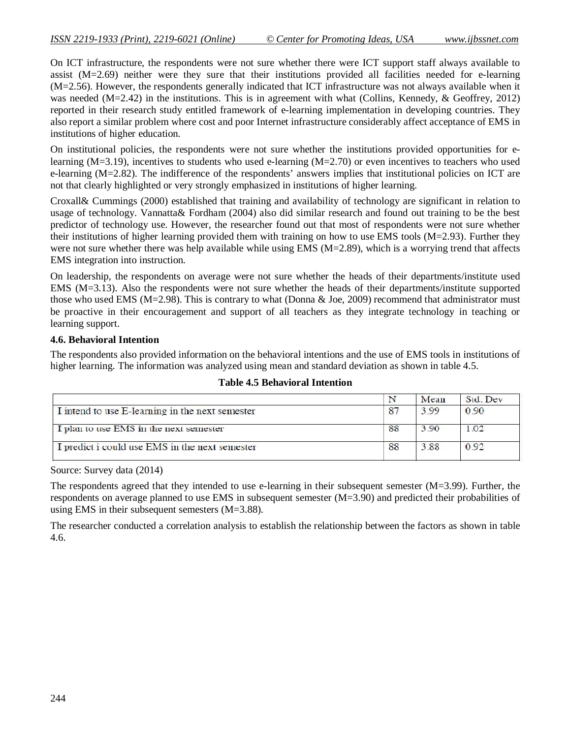On ICT infrastructure, the respondents were not sure whether there were ICT support staff always available to assist (M=2.69) neither were they sure that their institutions provided all facilities needed for e-learning (M=2.56). However, the respondents generally indicated that ICT infrastructure was not always available when it was needed  $(M=2.42)$  in the institutions. This is in agreement with what (Collins, Kennedy, & Geoffrey, 2012) reported in their research study entitled framework of e-learning implementation in developing countries. They also report a similar problem where cost and poor Internet infrastructure considerably affect acceptance of EMS in institutions of higher education.

On institutional policies, the respondents were not sure whether the institutions provided opportunities for elearning (M=3.19), incentives to students who used e-learning (M=2.70) or even incentives to teachers who used e-learning (M=2.82). The indifference of the respondents' answers implies that institutional policies on ICT are not that clearly highlighted or very strongly emphasized in institutions of higher learning.

Croxall& Cummings (2000) established that training and availability of technology are significant in relation to usage of technology. Vannatta& Fordham (2004) also did similar research and found out training to be the best predictor of technology use. However, the researcher found out that most of respondents were not sure whether their institutions of higher learning provided them with training on how to use EMS tools (M=2.93). Further they were not sure whether there was help available while using EMS ( $M=2.89$ ), which is a worrying trend that affects EMS integration into instruction.

On leadership, the respondents on average were not sure whether the heads of their departments/institute used EMS (M=3.13). Also the respondents were not sure whether the heads of their departments/institute supported those who used EMS ( $M=2.98$ ). This is contrary to what (Donna & Joe, 2009) recommend that administrator must be proactive in their encouragement and support of all teachers as they integrate technology in teaching or learning support.

#### **4.6. Behavioral Intention**

The respondents also provided information on the behavioral intentions and the use of EMS tools in institutions of higher learning. The information was analyzed using mean and standard deviation as shown in table 4.5.

|                                                 |    | Mean | Std. Dev |
|-------------------------------------------------|----|------|----------|
| I intend to use E-learning in the next semester | 87 | 3.99 | 0.90     |
| I plan to use EMS in the next semester          | 88 | 3.90 | 1.02     |
| I predict i could use EMS in the next semester  | 88 | 3.88 | 0.92     |

#### **Table 4.5 Behavioral Intention**

Source: Survey data (2014)

The respondents agreed that they intended to use e-learning in their subsequent semester (M=3.99). Further, the respondents on average planned to use EMS in subsequent semester (M=3.90) and predicted their probabilities of using EMS in their subsequent semesters (M=3.88).

The researcher conducted a correlation analysis to establish the relationship between the factors as shown in table 4.6.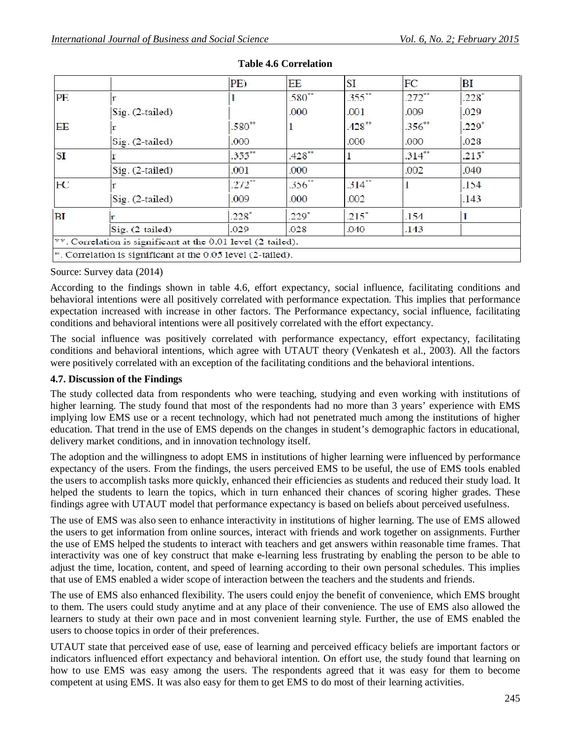|           |                                                                | PE)       | <b>EE</b>   | <b>SI</b>           | FC        | BI      |
|-----------|----------------------------------------------------------------|-----------|-------------|---------------------|-----------|---------|
| PE        |                                                                |           | $.580**$    | $.355***$           | $.272$ ** | $.228*$ |
|           | $Sig. (2-tailed)$                                              |           | .000        | .001                | .009      | .029    |
| EE        |                                                                | $.580**$  |             | $.428**$            | $.356**$  | $.229*$ |
|           | Sig. (2-tailed)                                                | .000      |             | .000                | .000      | .028    |
| <b>SI</b> |                                                                | $.355$ ** | $.428**$    |                     | $.314**$  | $.215*$ |
|           | $Sig. (2-tailed)$                                              | .001      | .000        |                     | .002      | .040    |
| FC        |                                                                | $.272$ ** | $.356^{**}$ | $.314**$            |           | .154    |
|           | $Sig. (2-tailed)$                                              | .009      | .000        | .002                |           | .143    |
| <b>BI</b> |                                                                | $.228*$   | $.229*$     | $.215$ <sup>*</sup> | .154      |         |
|           | $Sig. (2-tailed)$                                              | .029      | .028        | .040                | .143      |         |
|           | $*$ . Correlation is significant at the 0.01 level (2 tailed). |           |             |                     |           |         |
|           | $*$ . Correlation is significant at the 0.05 level (2-tailed). |           |             |                     |           |         |

## **Table 4.6 Correlation**

#### Source: Survey data (2014)

According to the findings shown in table 4.6, effort expectancy, social influence, facilitating conditions and behavioral intentions were all positively correlated with performance expectation. This implies that performance expectation increased with increase in other factors. The Performance expectancy, social influence, facilitating conditions and behavioral intentions were all positively correlated with the effort expectancy.

The social influence was positively correlated with performance expectancy, effort expectancy, facilitating conditions and behavioral intentions, which agree with UTAUT theory (Venkatesh et al., 2003). All the factors were positively correlated with an exception of the facilitating conditions and the behavioral intentions.

## **4.7. Discussion of the Findings**

The study collected data from respondents who were teaching, studying and even working with institutions of higher learning. The study found that most of the respondents had no more than 3 years' experience with EMS implying low EMS use or a recent technology, which had not penetrated much among the institutions of higher education. That trend in the use of EMS depends on the changes in student's demographic factors in educational, delivery market conditions, and in innovation technology itself.

The adoption and the willingness to adopt EMS in institutions of higher learning were influenced by performance expectancy of the users. From the findings, the users perceived EMS to be useful, the use of EMS tools enabled the users to accomplish tasks more quickly, enhanced their efficiencies as students and reduced their study load. It helped the students to learn the topics, which in turn enhanced their chances of scoring higher grades. These findings agree with UTAUT model that performance expectancy is based on beliefs about perceived usefulness.

The use of EMS was also seen to enhance interactivity in institutions of higher learning. The use of EMS allowed the users to get information from online sources, interact with friends and work together on assignments. Further the use of EMS helped the students to interact with teachers and get answers within reasonable time frames. That interactivity was one of key construct that make e-learning less frustrating by enabling the person to be able to adjust the time, location, content, and speed of learning according to their own personal schedules. This implies that use of EMS enabled a wider scope of interaction between the teachers and the students and friends.

The use of EMS also enhanced flexibility. The users could enjoy the benefit of convenience, which EMS brought to them. The users could study anytime and at any place of their convenience. The use of EMS also allowed the learners to study at their own pace and in most convenient learning style. Further, the use of EMS enabled the users to choose topics in order of their preferences.

UTAUT state that perceived ease of use, ease of learning and perceived efficacy beliefs are important factors or indicators influenced effort expectancy and behavioral intention. On effort use, the study found that learning on how to use EMS was easy among the users. The respondents agreed that it was easy for them to become competent at using EMS. It was also easy for them to get EMS to do most of their learning activities.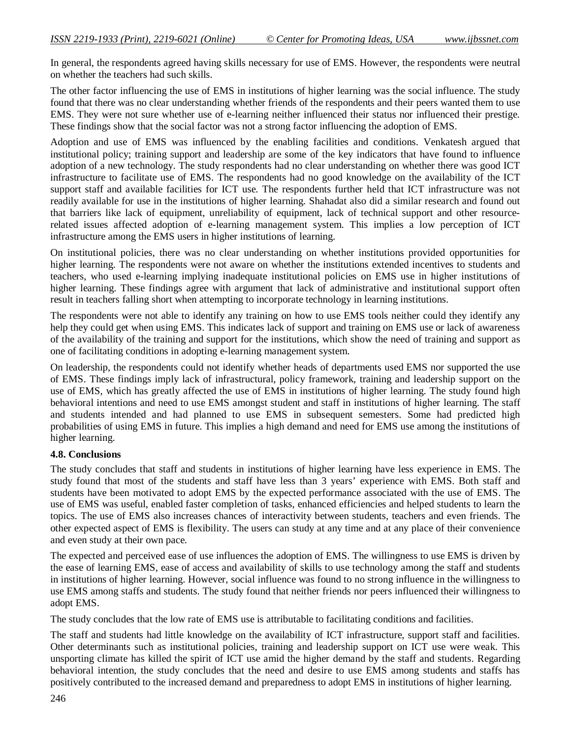In general, the respondents agreed having skills necessary for use of EMS. However, the respondents were neutral on whether the teachers had such skills.

The other factor influencing the use of EMS in institutions of higher learning was the social influence. The study found that there was no clear understanding whether friends of the respondents and their peers wanted them to use EMS. They were not sure whether use of e-learning neither influenced their status nor influenced their prestige. These findings show that the social factor was not a strong factor influencing the adoption of EMS.

Adoption and use of EMS was influenced by the enabling facilities and conditions. Venkatesh argued that institutional policy; training support and leadership are some of the key indicators that have found to influence adoption of a new technology. The study respondents had no clear understanding on whether there was good ICT infrastructure to facilitate use of EMS. The respondents had no good knowledge on the availability of the ICT support staff and available facilities for ICT use. The respondents further held that ICT infrastructure was not readily available for use in the institutions of higher learning. Shahadat also did a similar research and found out that barriers like lack of equipment, unreliability of equipment, lack of technical support and other resourcerelated issues affected adoption of e-learning management system. This implies a low perception of ICT infrastructure among the EMS users in higher institutions of learning.

On institutional policies, there was no clear understanding on whether institutions provided opportunities for higher learning. The respondents were not aware on whether the institutions extended incentives to students and teachers, who used e-learning implying inadequate institutional policies on EMS use in higher institutions of higher learning. These findings agree with argument that lack of administrative and institutional support often result in teachers falling short when attempting to incorporate technology in learning institutions.

The respondents were not able to identify any training on how to use EMS tools neither could they identify any help they could get when using EMS. This indicates lack of support and training on EMS use or lack of awareness of the availability of the training and support for the institutions, which show the need of training and support as one of facilitating conditions in adopting e-learning management system.

On leadership, the respondents could not identify whether heads of departments used EMS nor supported the use of EMS. These findings imply lack of infrastructural, policy framework, training and leadership support on the use of EMS, which has greatly affected the use of EMS in institutions of higher learning. The study found high behavioral intentions and need to use EMS amongst student and staff in institutions of higher learning. The staff and students intended and had planned to use EMS in subsequent semesters. Some had predicted high probabilities of using EMS in future. This implies a high demand and need for EMS use among the institutions of higher learning.

## **4.8. Conclusions**

The study concludes that staff and students in institutions of higher learning have less experience in EMS. The study found that most of the students and staff have less than 3 years' experience with EMS. Both staff and students have been motivated to adopt EMS by the expected performance associated with the use of EMS. The use of EMS was useful, enabled faster completion of tasks, enhanced efficiencies and helped students to learn the topics. The use of EMS also increases chances of interactivity between students, teachers and even friends. The other expected aspect of EMS is flexibility. The users can study at any time and at any place of their convenience and even study at their own pace.

The expected and perceived ease of use influences the adoption of EMS. The willingness to use EMS is driven by the ease of learning EMS, ease of access and availability of skills to use technology among the staff and students in institutions of higher learning. However, social influence was found to no strong influence in the willingness to use EMS among staffs and students. The study found that neither friends nor peers influenced their willingness to adopt EMS.

The study concludes that the low rate of EMS use is attributable to facilitating conditions and facilities.

The staff and students had little knowledge on the availability of ICT infrastructure, support staff and facilities. Other determinants such as institutional policies, training and leadership support on ICT use were weak. This unsporting climate has killed the spirit of ICT use amid the higher demand by the staff and students. Regarding behavioral intention, the study concludes that the need and desire to use EMS among students and staffs has positively contributed to the increased demand and preparedness to adopt EMS in institutions of higher learning.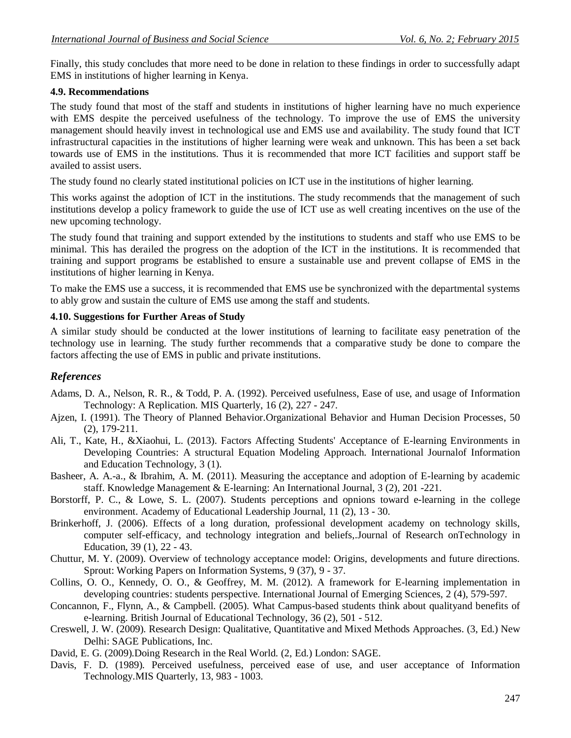Finally, this study concludes that more need to be done in relation to these findings in order to successfully adapt EMS in institutions of higher learning in Kenya.

#### **4.9. Recommendations**

The study found that most of the staff and students in institutions of higher learning have no much experience with EMS despite the perceived usefulness of the technology. To improve the use of EMS the university management should heavily invest in technological use and EMS use and availability. The study found that ICT infrastructural capacities in the institutions of higher learning were weak and unknown. This has been a set back towards use of EMS in the institutions. Thus it is recommended that more ICT facilities and support staff be availed to assist users.

The study found no clearly stated institutional policies on ICT use in the institutions of higher learning.

This works against the adoption of ICT in the institutions. The study recommends that the management of such institutions develop a policy framework to guide the use of ICT use as well creating incentives on the use of the new upcoming technology.

The study found that training and support extended by the institutions to students and staff who use EMS to be minimal. This has derailed the progress on the adoption of the ICT in the institutions. It is recommended that training and support programs be established to ensure a sustainable use and prevent collapse of EMS in the institutions of higher learning in Kenya.

To make the EMS use a success, it is recommended that EMS use be synchronized with the departmental systems to ably grow and sustain the culture of EMS use among the staff and students.

### **4.10. Suggestions for Further Areas of Study**

A similar study should be conducted at the lower institutions of learning to facilitate easy penetration of the technology use in learning. The study further recommends that a comparative study be done to compare the factors affecting the use of EMS in public and private institutions.

## *References*

- Adams, D. A., Nelson, R. R., & Todd, P. A. (1992). Perceived usefulness, Ease of use, and usage of Information Technology: A Replication. MIS Quarterly, 16 (2), 227 - 247.
- Ajzen, I. (1991). The Theory of Planned Behavior.Organizational Behavior and Human Decision Processes, 50 (2), 179-211.
- Ali, T., Kate, H., &Xiaohui, L. (2013). Factors Affecting Students' Acceptance of E-learning Environments in Developing Countries: A structural Equation Modeling Approach. International Journalof Information and Education Technology, 3 (1).
- Basheer, A. A.-a., & Ibrahim, A. M. (2011). Measuring the acceptance and adoption of E-learning by academic staff. Knowledge Management & E-learning: An International Journal, 3 (2), 201 -221.
- Borstorff, P. C., & Lowe, S. L. (2007). Students perceptions and opnions toward e-learning in the college environment. Academy of Educational Leadership Journal, 11 (2), 13 - 30.
- Brinkerhoff, J. (2006). Effects of a long duration, professional development academy on technology skills, computer self-efficacy, and technology integration and beliefs,.Journal of Research onTechnology in Education, 39 (1), 22 - 43.
- Chuttur, M. Y. (2009). Overview of technology acceptance model: Origins, developments and future directions. Sprout: Working Papers on Information Systems, 9 (37), 9 - 37.
- Collins, O. O., Kennedy, O. O., & Geoffrey, M. M. (2012). A framework for E-learning implementation in developing countries: students perspective. International Journal of Emerging Sciences, 2 (4), 579-597.
- Concannon, F., Flynn, A., & Campbell. (2005). What Campus-based students think about qualityand benefits of e-learning. British Journal of Educational Technology, 36 (2), 501 - 512.
- Creswell, J. W. (2009). Research Design: Qualitative, Quantitative and Mixed Methods Approaches. (3, Ed.) New Delhi: SAGE Publications, Inc.
- David, E. G. (2009).Doing Research in the Real World. (2, Ed.) London: SAGE.
- Davis, F. D. (1989). Perceived usefulness, perceived ease of use, and user acceptance of Information Technology.MIS Quarterly, 13, 983 - 1003.